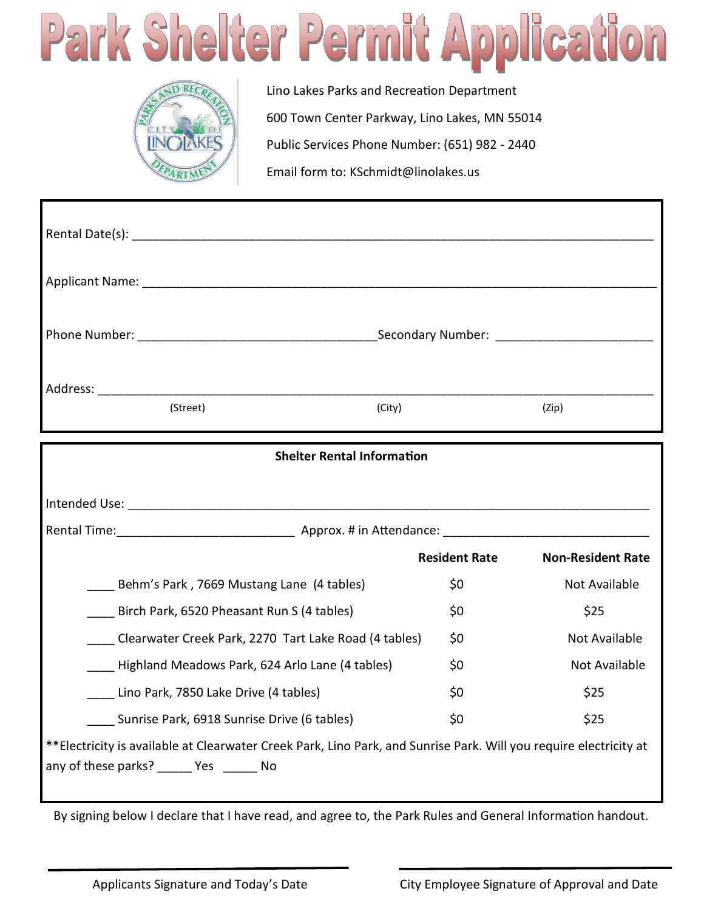



Lino Lakes Parks and Recreation Department 600 Town Center Parkway, Lino Lakes, MN 55014 Public Services Phone Number: (651) 982 - 2440 Email form to: PublicServices@linolakes.us

| (Street)                                                                                                                                                       | (City)               | (Zip)                    |
|----------------------------------------------------------------------------------------------------------------------------------------------------------------|----------------------|--------------------------|
| <b>Shelter Rental Information</b>                                                                                                                              |                      |                          |
|                                                                                                                                                                |                      |                          |
|                                                                                                                                                                | <b>Resident Rate</b> | <b>Non-Resident Rate</b> |
| Behm's Park, 7669 Mustang Lane (4 tables)                                                                                                                      | \$0                  | Not Available            |
| Birch Park, 6520 Pheasant Run S (4 tables)                                                                                                                     | \$0                  | \$25                     |
| Clearwater Creek Park, 2270 Tart Lake Road (4 tables)                                                                                                          | \$0                  | Not Available            |
| Highland Meadows Park, 624 Arlo Lane (4 tables)                                                                                                                | \$0                  | <b>Not Available</b>     |
| Lino Park, 7850 Lake Drive (4 tables)                                                                                                                          | \$0                  | \$25                     |
| Sunrise Park, 6918 Sunrise Drive (6 tables)                                                                                                                    | \$0                  | \$25                     |
| ** Electricity is available at Clearwater Creek Park, Lino Park, and Sunrise Park. Will you require electricity at<br>any of these parks? ______ Yes ______ No |                      |                          |

By signing below I declare that I have read, and agree to, the Park Rules and General Information handout.